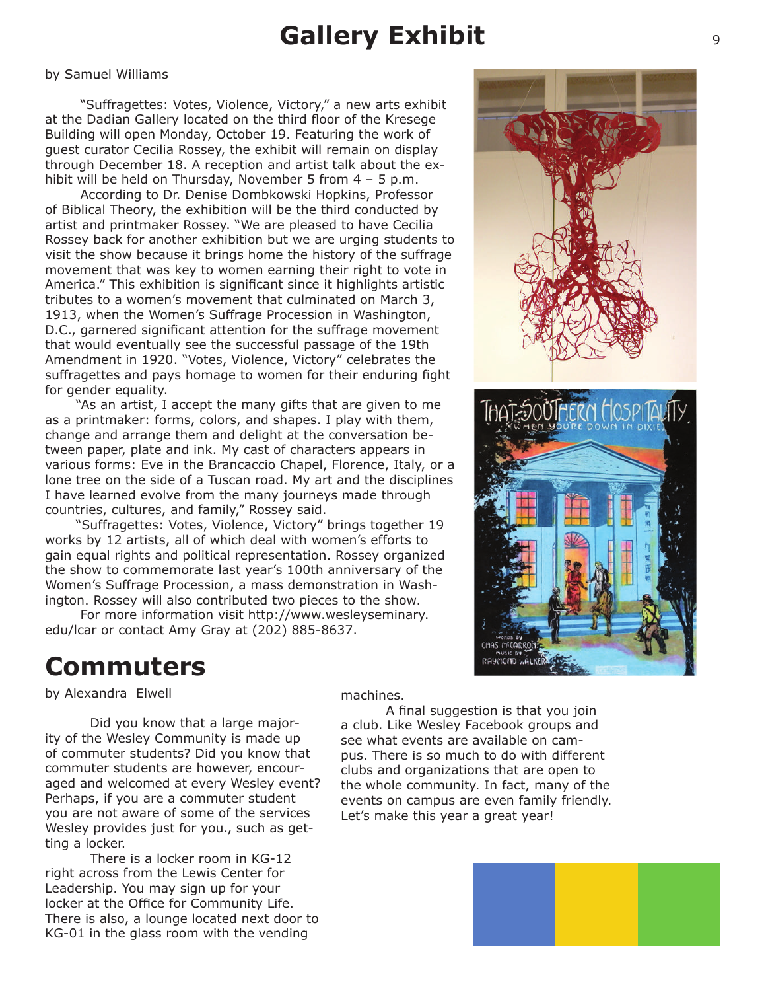## **Gallery Exhibit**

#### by Samuel Williams

 "Suffragettes: Votes, Violence, Victory," a new arts exhibit at the Dadian Gallery located on the third floor of the Kresege Building will open Monday, October 19. Featuring the work of guest curator Cecilia Rossey, the exhibit will remain on display through December 18. A reception and artist talk about the exhibit will be held on Thursday, November 5 from 4 - 5 p.m.

 According to Dr. Denise Dombkowski Hopkins, Professor of Biblical Theory, the exhibition will be the third conducted by artist and printmaker Rossey. "We are pleased to have Cecilia Rossey back for another exhibition but we are urging students to visit the show because it brings home the history of the suffrage movement that was key to women earning their right to vote in America." This exhibition is significant since it highlights artistic tributes to a women's movement that culminated on March 3, 1913, when the Women's Suffrage Procession in Washington, D.C., garnered significant attention for the suffrage movement that would eventually see the successful passage of the 19th Amendment in 1920. "Votes, Violence, Victory" celebrates the suffragettes and pays homage to women for their enduring fight for gender equality.

 "As an artist, I accept the many gifts that are given to me as a printmaker: forms, colors, and shapes. I play with them, change and arrange them and delight at the conversation between paper, plate and ink. My cast of characters appears in various forms: Eve in the Brancaccio Chapel, Florence, Italy, or a lone tree on the side of a Tuscan road. My art and the disciplines I have learned evolve from the many journeys made through countries, cultures, and family," Rossey said.

 "Suffragettes: Votes, Violence, Victory" brings together 19 works by 12 artists, all of which deal with women's efforts to gain equal rights and political representation. Rossey organized the show to commemorate last year's 100th anniversary of the Women's Suffrage Procession, a mass demonstration in Washington. Rossey will also contributed two pieces to the show.

 For more information visit http://www.wesleyseminary. edu/lcar or contact Amy Gray at (202) 885-8637.



### **Commuters**

by Alexandra Elwell

 Did you know that a large majority of the Wesley Community is made up of commuter students? Did you know that commuter students are however, encouraged and welcomed at every Wesley event? Perhaps, if you are a commuter student you are not aware of some of the services Wesley provides just for you., such as getting a locker.

 There is a locker room in KG-12 right across from the Lewis Center for Leadership. You may sign up for your locker at the Office for Community Life. There is also, a lounge located next door to KG-01 in the glass room with the vending

machines.

A final suggestion is that you join a club. Like Wesley Facebook groups and see what events are available on campus. There is so much to do with different clubs and organizations that are open to the whole community. In fact, many of the events on campus are even family friendly. Let's make this year a great year!

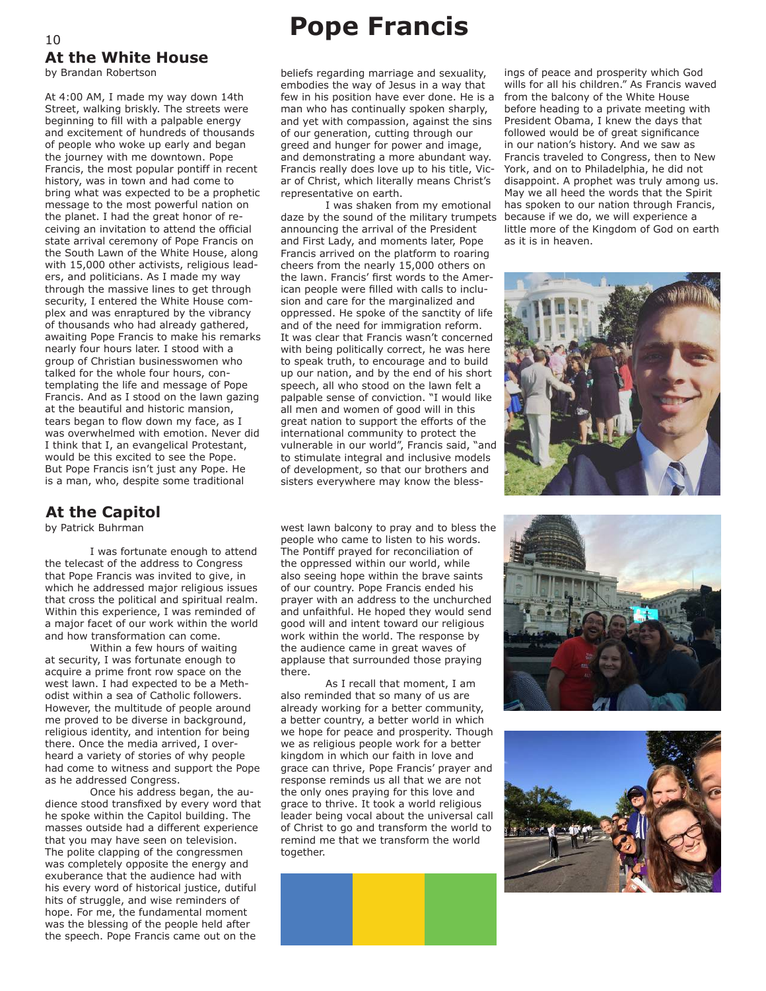# **At the White House**

by Brandan Robertson

At 4:00 AM, I made my way down 14th Street, walking briskly. The streets were beginning to fill with a palpable energy and excitement of hundreds of thousands of people who woke up early and began the journey with me downtown. Pope Francis, the most popular pontiff in recent history, was in town and had come to bring what was expected to be a prophetic message to the most powerful nation on the planet. I had the great honor of receiving an invitation to attend the official state arrival ceremony of Pope Francis on the South Lawn of the White House, along with 15,000 other activists, religious leaders, and politicians. As I made my way through the massive lines to get through security, I entered the White House complex and was enraptured by the vibrancy of thousands who had already gathered, awaiting Pope Francis to make his remarks nearly four hours later. I stood with a group of Christian businesswomen who talked for the whole four hours, contemplating the life and message of Pope Francis. And as I stood on the lawn gazing at the beautiful and historic mansion, tears began to flow down my face, as I was overwhelmed with emotion. Never did I think that I, an evangelical Protestant, would be this excited to see the Pope. But Pope Francis isn't just any Pope. He is a man, who, despite some traditional

#### **At the Capitol**

by Patrick Buhrman

I was fortunate enough to attend the telecast of the address to Congress that Pope Francis was invited to give, in which he addressed major religious issues that cross the political and spiritual realm. Within this experience, I was reminded of a major facet of our work within the world and how transformation can come.

Within a few hours of waiting at security, I was fortunate enough to acquire a prime front row space on the west lawn. I had expected to be a Methodist within a sea of Catholic followers. However, the multitude of people around me proved to be diverse in background, religious identity, and intention for being there. Once the media arrived, I overheard a variety of stories of why people had come to witness and support the Pope as he addressed Congress.

Once his address began, the audience stood transfixed by every word that he spoke within the Capitol building. The masses outside had a different experience that you may have seen on television. The polite clapping of the congressmen was completely opposite the energy and exuberance that the audience had with his every word of historical justice, dutiful hits of struggle, and wise reminders of hope. For me, the fundamental moment was the blessing of the people held after the speech. Pope Francis came out on the

## <sup>10</sup> **Pope Francis**

beliefs regarding marriage and sexuality, embodies the way of Jesus in a way that few in his position have ever done. He is a man who has continually spoken sharply, and yet with compassion, against the sins of our generation, cutting through our greed and hunger for power and image, and demonstrating a more abundant way. Francis really does love up to his title, Vicar of Christ, which literally means Christ's representative on earth.

I was shaken from my emotional daze by the sound of the military trumpets announcing the arrival of the President and First Lady, and moments later, Pope Francis arrived on the platform to roaring cheers from the nearly 15,000 others on the lawn. Francis' first words to the American people were filled with calls to inclusion and care for the marginalized and oppressed. He spoke of the sanctity of life and of the need for immigration reform. It was clear that Francis wasn't concerned with being politically correct, he was here to speak truth, to encourage and to build up our nation, and by the end of his short speech, all who stood on the lawn felt a palpable sense of conviction. "I would like all men and women of good will in this great nation to support the efforts of the international community to protect the vulnerable in our world", Francis said, "and to stimulate integral and inclusive models of development, so that our brothers and sisters everywhere may know the bless-

west lawn balcony to pray and to bless the people who came to listen to his words. The Pontiff prayed for reconciliation of the oppressed within our world, while also seeing hope within the brave saints of our country. Pope Francis ended his prayer with an address to the unchurched and unfaithful. He hoped they would send good will and intent toward our religious work within the world. The response by the audience came in great waves of applause that surrounded those praying there.

As I recall that moment, I am also reminded that so many of us are already working for a better community, a better country, a better world in which we hope for peace and prosperity. Though we as religious people work for a better kingdom in which our faith in love and grace can thrive, Pope Francis' prayer and response reminds us all that we are not the only ones praying for this love and grace to thrive. It took a world religious leader being vocal about the universal call of Christ to go and transform the world to remind me that we transform the world together.



ings of peace and prosperity which God wills for all his children." As Francis waved from the balcony of the White House before heading to a private meeting with President Obama, I knew the days that followed would be of great significance in our nation's history. And we saw as Francis traveled to Congress, then to New York, and on to Philadelphia, he did not disappoint. A prophet was truly among us. May we all heed the words that the Spirit has spoken to our nation through Francis, because if we do, we will experience a little more of the Kingdom of God on earth as it is in heaven.